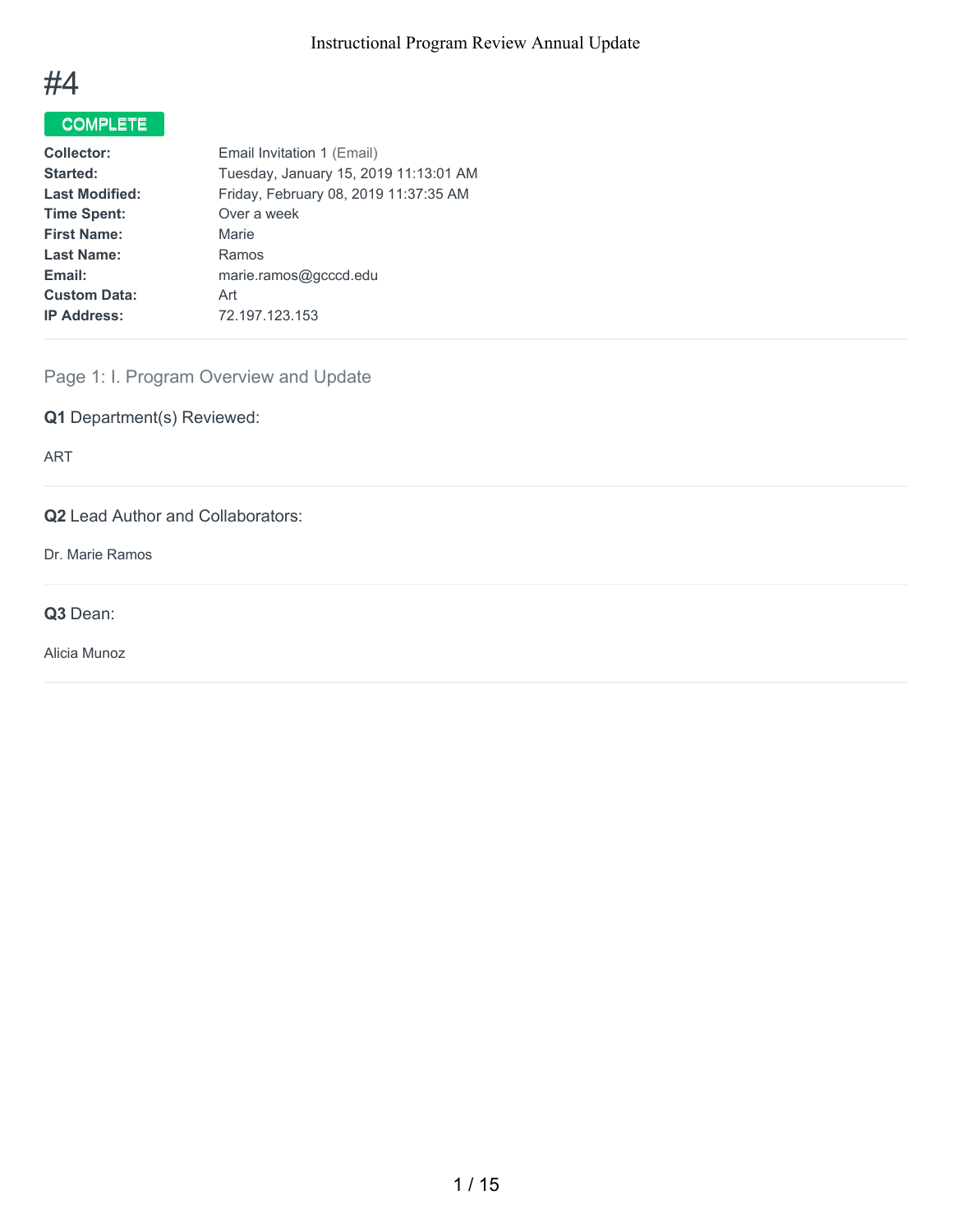

# COMPLETE

| <b>Collector:</b>     | Email Invitation 1 (Email)            |
|-----------------------|---------------------------------------|
| Started:              | Tuesday, January 15, 2019 11:13:01 AM |
| <b>Last Modified:</b> | Friday, February 08, 2019 11:37:35 AM |
| <b>Time Spent:</b>    | Over a week                           |
| <b>First Name:</b>    | Marie                                 |
| <b>Last Name:</b>     | Ramos                                 |
| Email:                | marie.ramos@gcccd.edu                 |
| <b>Custom Data:</b>   | Art                                   |
| <b>IP Address:</b>    | 72.197.123.153                        |
|                       |                                       |

Page 1: I. Program Overview and Update

**Q1** Department(s) Reviewed:

ART

**Q2** Lead Author and Collaborators:

Dr. Marie Ramos

**Q3** Dean:

Alicia Munoz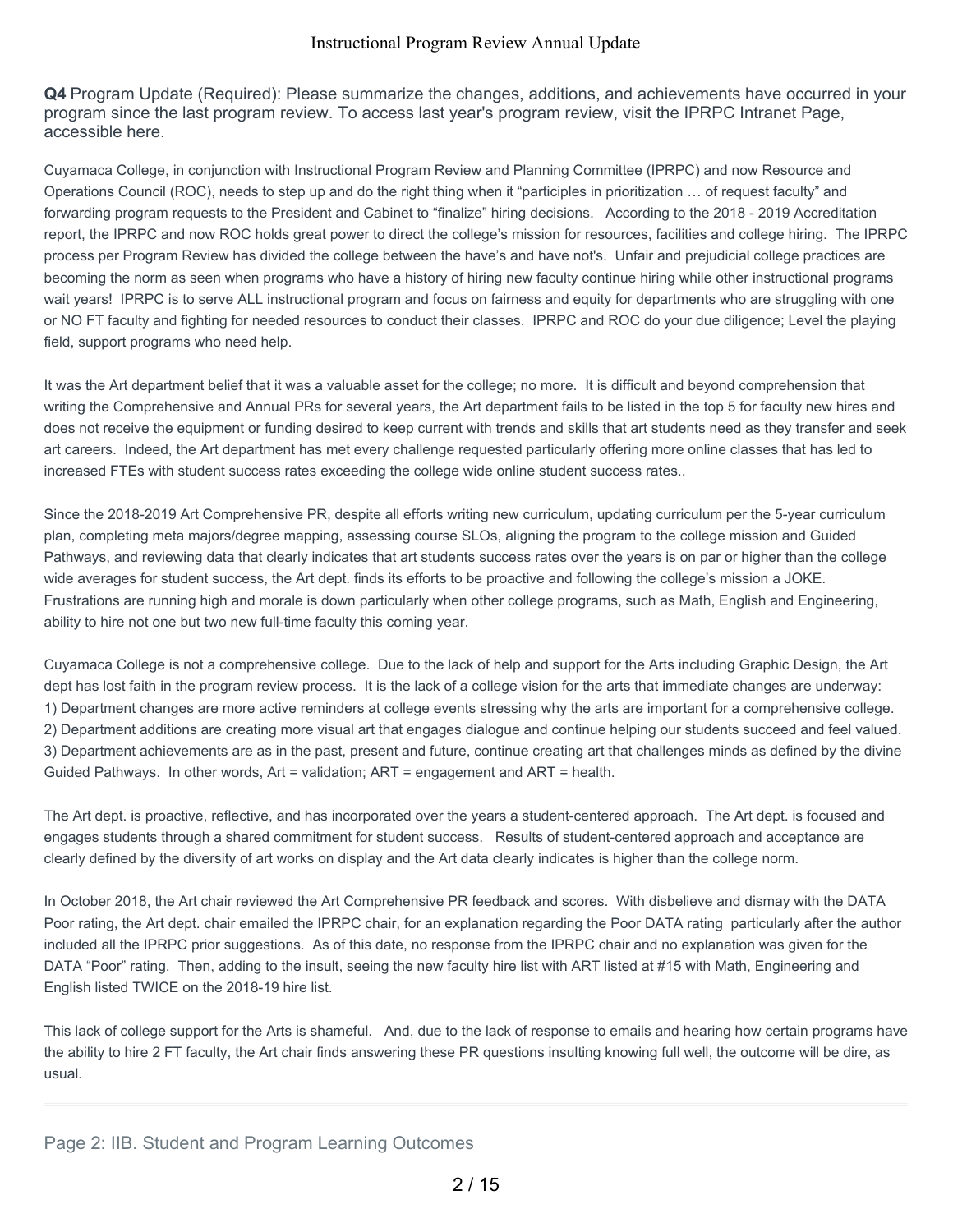**Q4** Program Update (Required): Please summarize the changes, additions, and achievements have occurred in your program since the last program review. To access last year's program review, visit the IPRPC Intranet Page, accessible here.

Cuyamaca College, in conjunction with Instructional Program Review and Planning Committee (IPRPC) and now Resource and Operations Council (ROC), needs to step up and do the right thing when it "participles in prioritization … of request faculty" and forwarding program requests to the President and Cabinet to "finalize" hiring decisions. According to the 2018 - 2019 Accreditation report, the IPRPC and now ROC holds great power to direct the college's mission for resources, facilities and college hiring. The IPRPC process per Program Review has divided the college between the have's and have not's. Unfair and prejudicial college practices are becoming the norm as seen when programs who have a history of hiring new faculty continue hiring while other instructional programs wait years! IPRPC is to serve ALL instructional program and focus on fairness and equity for departments who are struggling with one or NO FT faculty and fighting for needed resources to conduct their classes. IPRPC and ROC do your due diligence; Level the playing field, support programs who need help.

It was the Art department belief that it was a valuable asset for the college; no more. It is difficult and beyond comprehension that writing the Comprehensive and Annual PRs for several years, the Art department fails to be listed in the top 5 for faculty new hires and does not receive the equipment or funding desired to keep current with trends and skills that art students need as they transfer and seek art careers. Indeed, the Art department has met every challenge requested particularly offering more online classes that has led to increased FTEs with student success rates exceeding the college wide online student success rates..

Since the 2018-2019 Art Comprehensive PR, despite all efforts writing new curriculum, updating curriculum per the 5-year curriculum plan, completing meta majors/degree mapping, assessing course SLOs, aligning the program to the college mission and Guided Pathways, and reviewing data that clearly indicates that art students success rates over the years is on par or higher than the college wide averages for student success, the Art dept. finds its efforts to be proactive and following the college's mission a JOKE. Frustrations are running high and morale is down particularly when other college programs, such as Math, English and Engineering, ability to hire not one but two new full-time faculty this coming year.

Cuyamaca College is not a comprehensive college. Due to the lack of help and support for the Arts including Graphic Design, the Art dept has lost faith in the program review process. It is the lack of a college vision for the arts that immediate changes are underway: 1) Department changes are more active reminders at college events stressing why the arts are important for a comprehensive college. 2) Department additions are creating more visual art that engages dialogue and continue helping our students succeed and feel valued. 3) Department achievements are as in the past, present and future, continue creating art that challenges minds as defined by the divine Guided Pathways. In other words, Art = validation; ART = engagement and ART = health.

The Art dept. is proactive, reflective, and has incorporated over the years a student-centered approach. The Art dept. is focused and engages students through a shared commitment for student success. Results of student-centered approach and acceptance are clearly defined by the diversity of art works on display and the Art data clearly indicates is higher than the college norm.

In October 2018, the Art chair reviewed the Art Comprehensive PR feedback and scores. With disbelieve and dismay with the DATA Poor rating, the Art dept. chair emailed the IPRPC chair, for an explanation regarding the Poor DATA rating particularly after the author included all the IPRPC prior suggestions. As of this date, no response from the IPRPC chair and no explanation was given for the DATA "Poor" rating. Then, adding to the insult, seeing the new faculty hire list with ART listed at #15 with Math, Engineering and English listed TWICE on the 2018-19 hire list.

This lack of college support for the Arts is shameful. And, due to the lack of response to emails and hearing how certain programs have the ability to hire 2 FT faculty, the Art chair finds answering these PR questions insulting knowing full well, the outcome will be dire, as usual.

### Page 2: IIB. Student and Program Learning Outcomes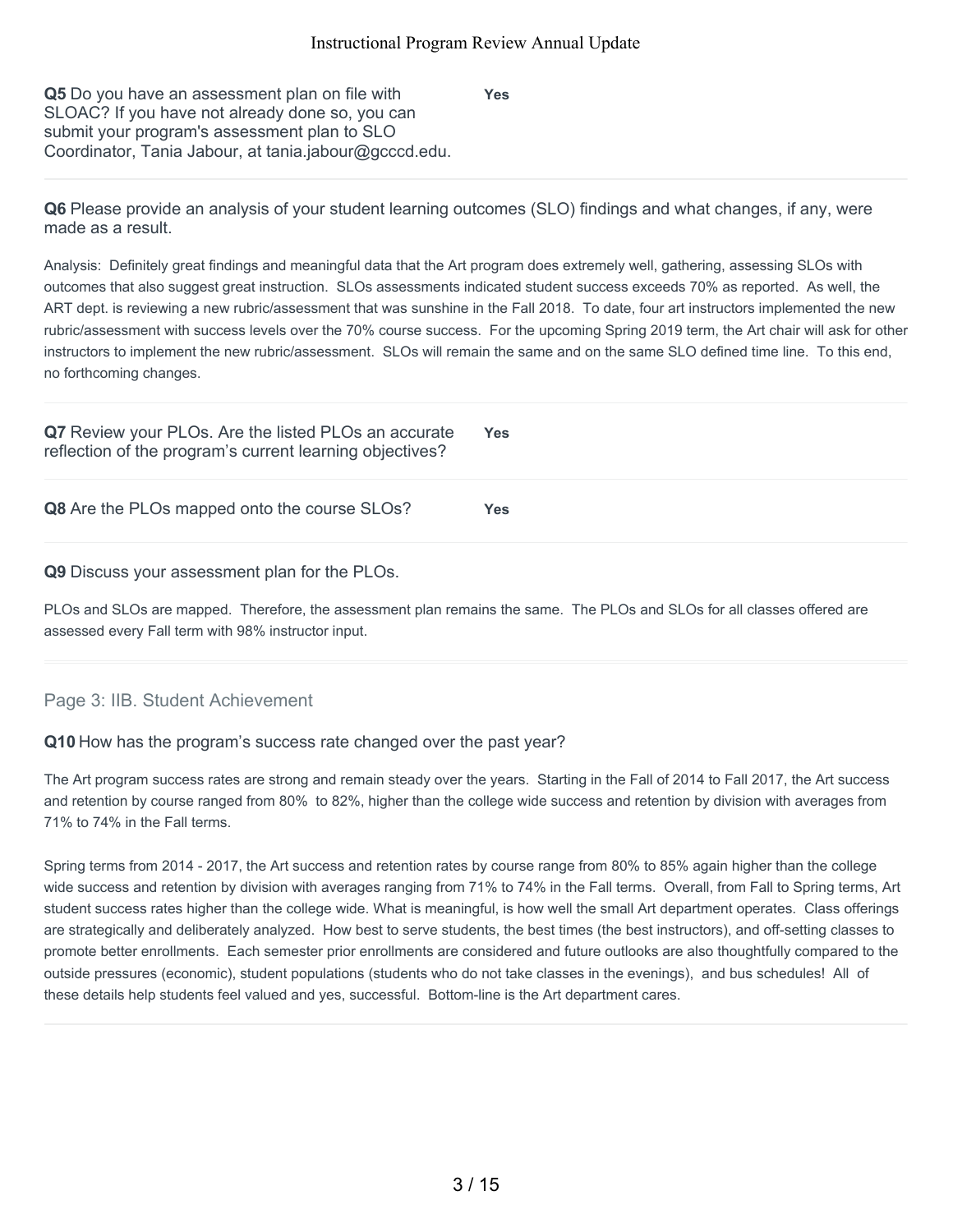**Yes**

**Q5** Do you have an assessment plan on file with SLOAC? If you have not already done so, you can submit your program's assessment plan to SLO Coordinator, Tania Jabour, at tania.jabour@gcccd.edu.

**Q6** Please provide an analysis of your student learning outcomes (SLO) findings and what changes, if any, were made as a result.

Analysis: Definitely great findings and meaningful data that the Art program does extremely well, gathering, assessing SLOs with outcomes that also suggest great instruction. SLOs assessments indicated student success exceeds 70% as reported. As well, the ART dept. is reviewing a new rubric/assessment that was sunshine in the Fall 2018. To date, four art instructors implemented the new rubric/assessment with success levels over the 70% course success. For the upcoming Spring 2019 term, the Art chair will ask for other instructors to implement the new rubric/assessment. SLOs will remain the same and on the same SLO defined time line. To this end, no forthcoming changes.

| Q7 Review your PLOs. Are the listed PLOs an accurate<br>reflection of the program's current learning objectives? | <b>Yes</b> |
|------------------------------------------------------------------------------------------------------------------|------------|
| Q8 Are the PLOs mapped onto the course SLOs?                                                                     | Yes        |

**Q9** Discuss your assessment plan for the PLOs.

PLOs and SLOs are mapped. Therefore, the assessment plan remains the same. The PLOs and SLOs for all classes offered are assessed every Fall term with 98% instructor input.

### Page 3: IIB. Student Achievement

### **Q10** How has the program's success rate changed over the past year?

The Art program success rates are strong and remain steady over the years. Starting in the Fall of 2014 to Fall 2017, the Art success and retention by course ranged from 80% to 82%, higher than the college wide success and retention by division with averages from 71% to 74% in the Fall terms.

Spring terms from 2014 - 2017, the Art success and retention rates by course range from 80% to 85% again higher than the college wide success and retention by division with averages ranging from 71% to 74% in the Fall terms. Overall, from Fall to Spring terms, Art student success rates higher than the college wide. What is meaningful, is how well the small Art department operates. Class offerings are strategically and deliberately analyzed. How best to serve students, the best times (the best instructors), and off-setting classes to promote better enrollments. Each semester prior enrollments are considered and future outlooks are also thoughtfully compared to the outside pressures (economic), student populations (students who do not take classes in the evenings), and bus schedules! All of these details help students feel valued and yes, successful. Bottom-line is the Art department cares.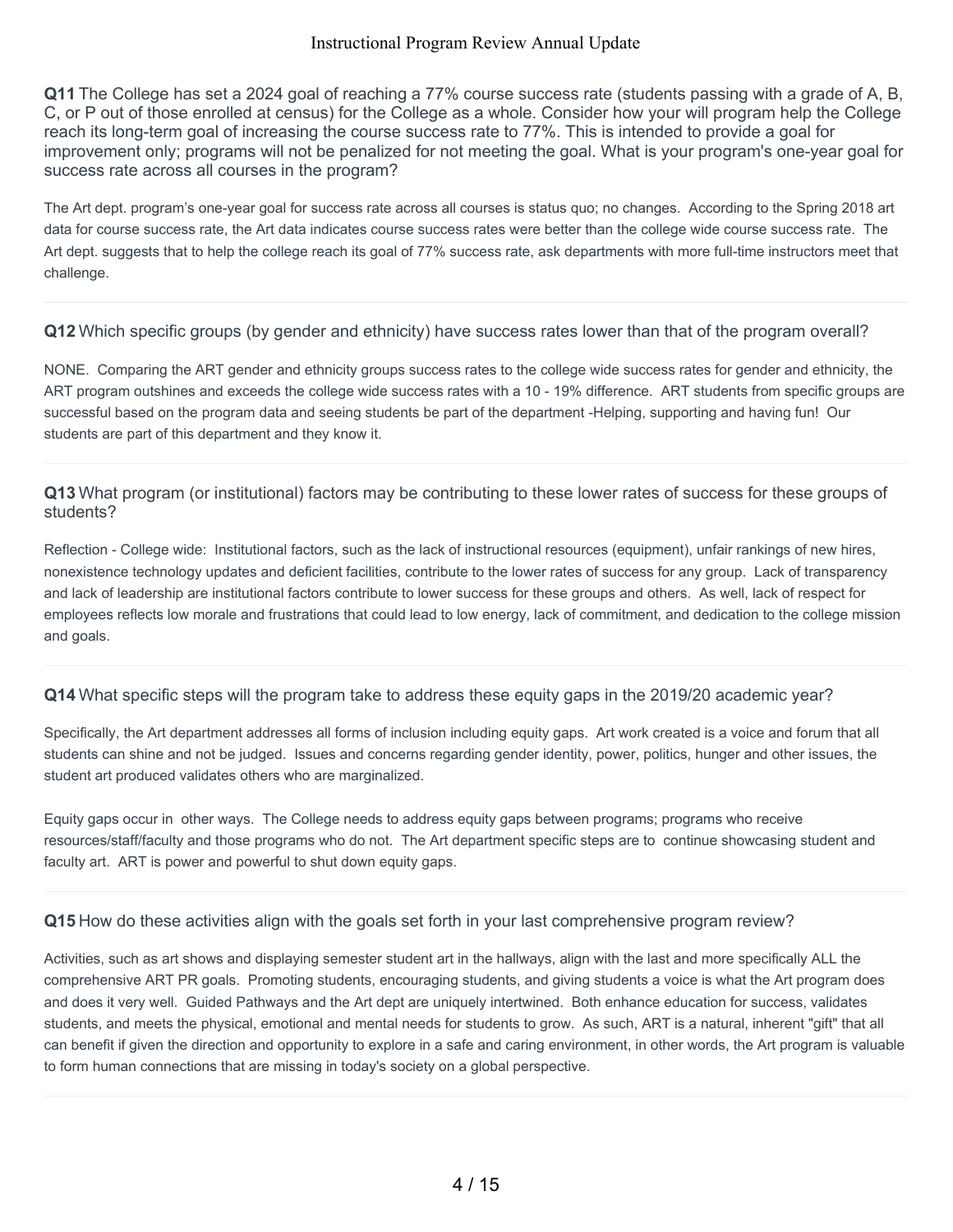**Q11** The College has set a 2024 goal of reaching a 77% course success rate (students passing with a grade of A, B, C, or P out of those enrolled at census) for the College as a whole. Consider how your will program help the College reach its long-term goal of increasing the course success rate to 77%. This is intended to provide a goal for improvement only; programs will not be penalized for not meeting the goal. What is your program's one-year goal for success rate across all courses in the program?

The Art dept. program's one-year goal for success rate across all courses is status quo; no changes. According to the Spring 2018 art data for course success rate, the Art data indicates course success rates were better than the college wide course success rate. The Art dept. suggests that to help the college reach its goal of 77% success rate, ask departments with more full-time instructors meet that challenge.

### **Q12** Which specific groups (by gender and ethnicity) have success rates lower than that of the program overall?

NONE. Comparing the ART gender and ethnicity groups success rates to the college wide success rates for gender and ethnicity, the ART program outshines and exceeds the college wide success rates with a 10 - 19% difference. ART students from specific groups are successful based on the program data and seeing students be part of the department -Helping, supporting and having fun! Our students are part of this department and they know it.

### **Q13** What program (or institutional) factors may be contributing to these lower rates of success for these groups of students?

Reflection - College wide: Institutional factors, such as the lack of instructional resources (equipment), unfair rankings of new hires, nonexistence technology updates and deficient facilities, contribute to the lower rates of success for any group. Lack of transparency and lack of leadership are institutional factors contribute to lower success for these groups and others. As well, lack of respect for employees reflects low morale and frustrations that could lead to low energy, lack of commitment, and dedication to the college mission and goals.

### **Q14** What specific steps will the program take to address these equity gaps in the 2019/20 academic year?

Specifically, the Art department addresses all forms of inclusion including equity gaps. Art work created is a voice and forum that all students can shine and not be judged. Issues and concerns regarding gender identity, power, politics, hunger and other issues, the student art produced validates others who are marginalized.

Equity gaps occur in other ways. The College needs to address equity gaps between programs; programs who receive resources/staff/faculty and those programs who do not. The Art department specific steps are to continue showcasing student and faculty art. ART is power and powerful to shut down equity gaps.

### **Q15** How do these activities align with the goals set forth in your last comprehensive program review?

Activities, such as art shows and displaying semester student art in the hallways, align with the last and more specifically ALL the comprehensive ART PR goals. Promoting students, encouraging students, and giving students a voice is what the Art program does and does it very well. Guided Pathways and the Art dept are uniquely intertwined. Both enhance education for success, validates students, and meets the physical, emotional and mental needs for students to grow. As such, ART is a natural, inherent "gift" that all can benefit if given the direction and opportunity to explore in a safe and caring environment, in other words, the Art program is valuable to form human connections that are missing in today's society on a global perspective.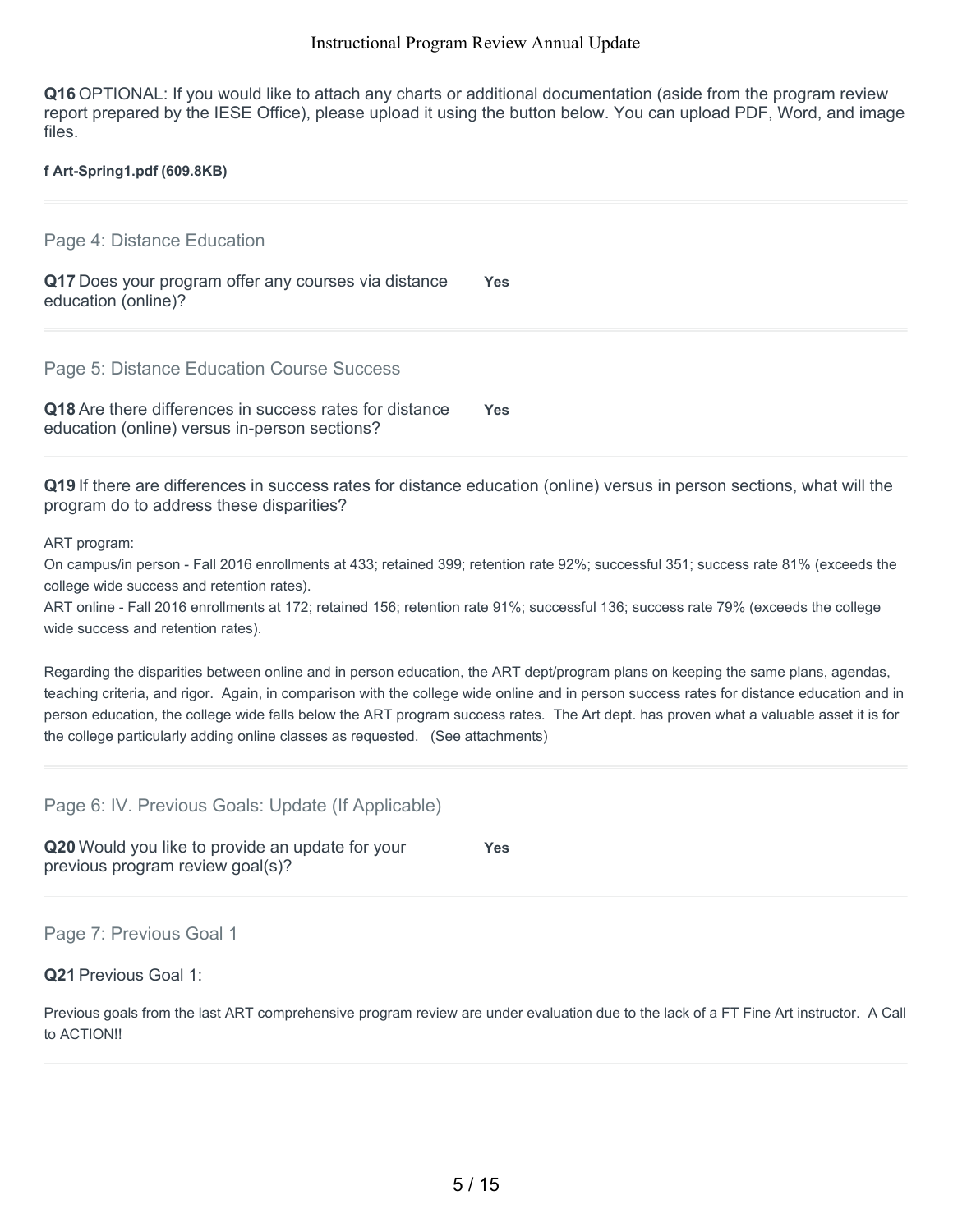**Q16** OPTIONAL: If you would like to attach any charts or additional documentation (aside from the program review report prepared by the IESE Office), please upload it using the button below. You can upload PDF, Word, and image files.

### **f Art-Spring1.pdf (609.8KB)**

Page 4: Distance Education

**Q17** Does your program offer any courses via distance education (online)? **Yes**

Page 5: Distance Education Course Success

**Q18** Are there differences in success rates for distance education (online) versus in-person sections? **Yes**

**Q19** If there are differences in success rates for distance education (online) versus in person sections, what will the program do to address these disparities?

ART program:

On campus/in person - Fall 2016 enrollments at 433; retained 399; retention rate 92%; successful 351; success rate 81% (exceeds the college wide success and retention rates).

ART online - Fall 2016 enrollments at 172; retained 156; retention rate 91%; successful 136; success rate 79% (exceeds the college wide success and retention rates).

Regarding the disparities between online and in person education, the ART dept/program plans on keeping the same plans, agendas, teaching criteria, and rigor. Again, in comparison with the college wide online and in person success rates for distance education and in person education, the college wide falls below the ART program success rates. The Art dept. has proven what a valuable asset it is for the college particularly adding online classes as requested. (See attachments)

Page 6: IV. Previous Goals: Update (If Applicable)

**Q20** Would you like to provide an update for your previous program review goal(s)? **Yes**

Page 7: Previous Goal 1

**Q21** Previous Goal 1:

Previous goals from the last ART comprehensive program review are under evaluation due to the lack of a FT Fine Art instructor. A Call to ACTION!!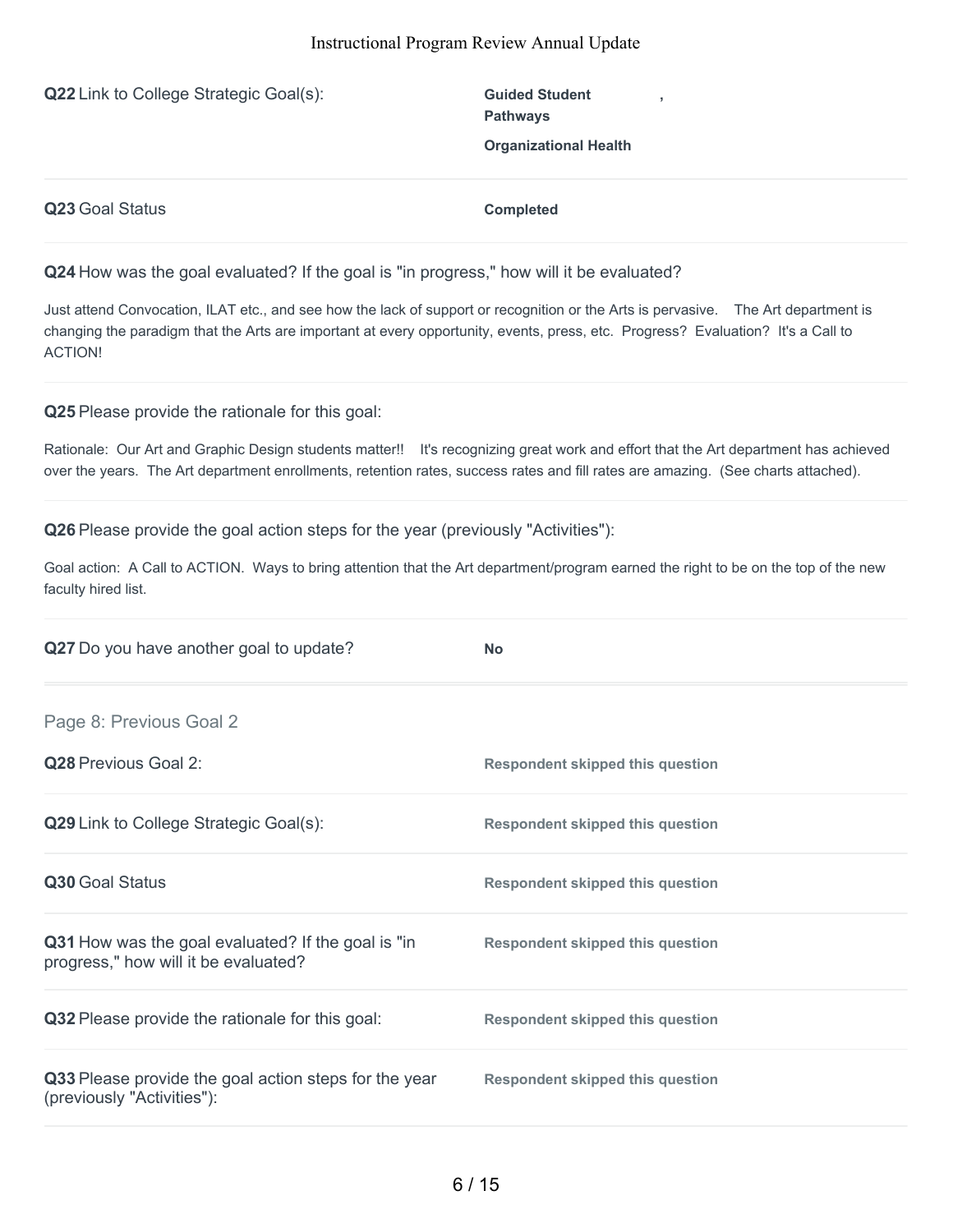**Q22** Link to College Strategic Goal(s): **Guided Student** 

**Pathways Organizational Health**

**,**

**Q23** Goal Status **Completed** 

**Q24** How was the goal evaluated? If the goal is "in progress," how will it be evaluated?

Just attend Convocation, ILAT etc., and see how the lack of support or recognition or the Arts is pervasive. The Art department is changing the paradigm that the Arts are important at every opportunity, events, press, etc. Progress? Evaluation? It's a Call to ACTION!

**Q25** Please provide the rationale for this goal:

Rationale: Our Art and Graphic Design students matter!! It's recognizing great work and effort that the Art department has achieved over the years. The Art department enrollments, retention rates, success rates and fill rates are amazing. (See charts attached).

**Q26** Please provide the goal action steps for the year (previously "Activities"):

Goal action: A Call to ACTION. Ways to bring attention that the Art department/program earned the right to be on the top of the new faculty hired list.

| Q27 Do you have another goal to update?                                                    | <b>No</b>                               |
|--------------------------------------------------------------------------------------------|-----------------------------------------|
| Page 8: Previous Goal 2                                                                    |                                         |
| <b>Q28</b> Previous Goal 2:                                                                | <b>Respondent skipped this question</b> |
| Q29 Link to College Strategic Goal(s):                                                     | <b>Respondent skipped this question</b> |
| Q30 Goal Status                                                                            | <b>Respondent skipped this question</b> |
| Q31 How was the goal evaluated? If the goal is "in<br>progress," how will it be evaluated? | <b>Respondent skipped this question</b> |
| Q32 Please provide the rationale for this goal:                                            | <b>Respondent skipped this question</b> |
| Q33 Please provide the goal action steps for the year<br>(previously "Activities"):        | <b>Respondent skipped this question</b> |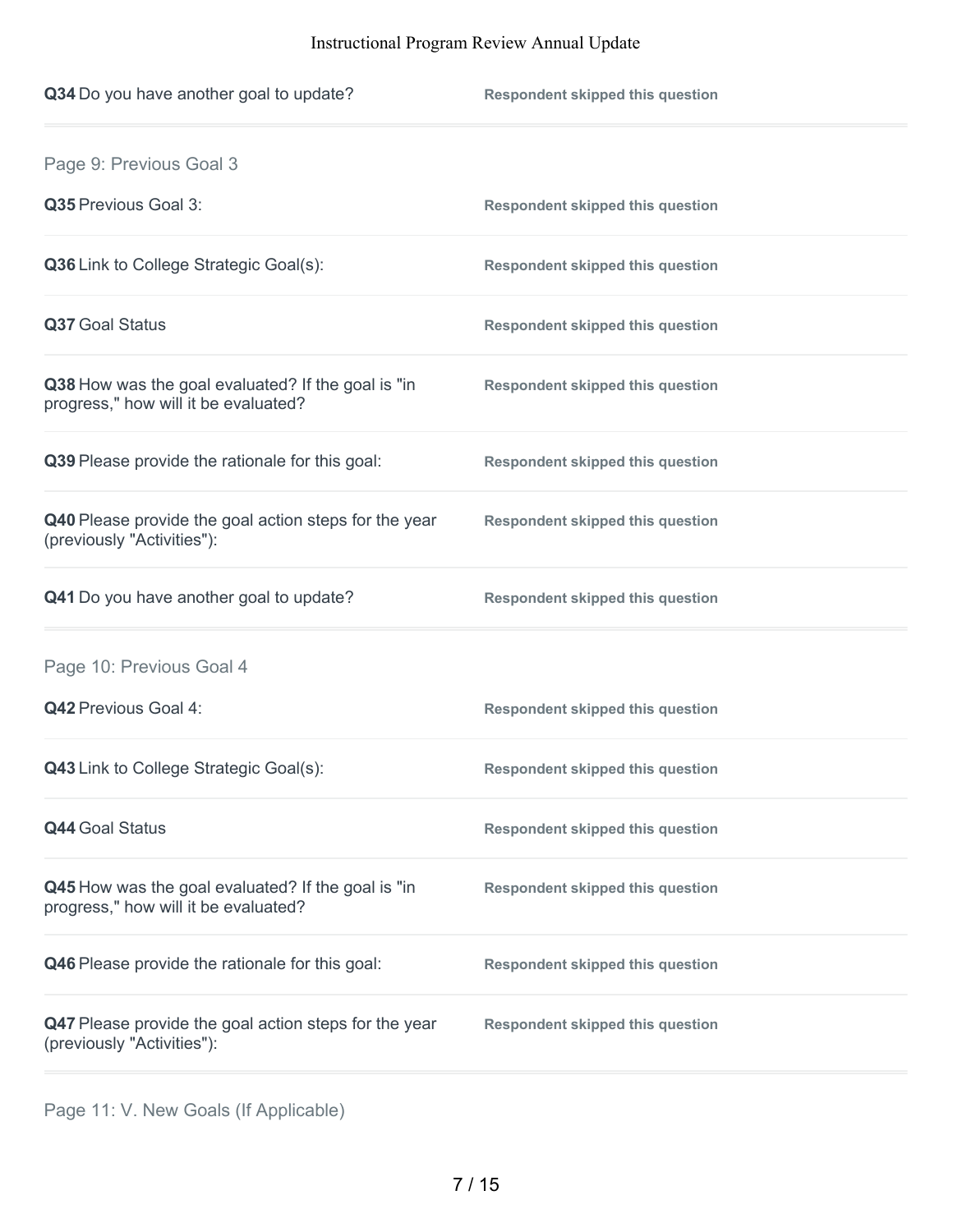| Q34 Do you have another goal to update?                                                    | <b>Respondent skipped this question</b> |
|--------------------------------------------------------------------------------------------|-----------------------------------------|
| Page 9: Previous Goal 3                                                                    |                                         |
| Q35 Previous Goal 3:                                                                       | <b>Respondent skipped this question</b> |
| Q36 Link to College Strategic Goal(s):                                                     | <b>Respondent skipped this question</b> |
| Q37 Goal Status                                                                            | <b>Respondent skipped this question</b> |
| Q38 How was the goal evaluated? If the goal is "in<br>progress," how will it be evaluated? | <b>Respondent skipped this question</b> |
| Q39 Please provide the rationale for this goal:                                            | <b>Respondent skipped this question</b> |
| Q40 Please provide the goal action steps for the year<br>(previously "Activities"):        | <b>Respondent skipped this question</b> |
| Q41 Do you have another goal to update?                                                    | <b>Respondent skipped this question</b> |
| Page 10: Previous Goal 4                                                                   |                                         |
| Q42 Previous Goal 4:                                                                       | <b>Respondent skipped this question</b> |
| <b>Q43</b> Link to College Strategic Goal(s):                                              | <b>Respondent skipped this question</b> |
| <b>Q44 Goal Status</b>                                                                     | <b>Respondent skipped this question</b> |
| Q45 How was the goal evaluated? If the goal is "in<br>progress," how will it be evaluated? | <b>Respondent skipped this question</b> |
| Q46 Please provide the rationale for this goal:                                            | <b>Respondent skipped this question</b> |
| Q47 Please provide the goal action steps for the year<br>(previously "Activities"):        | <b>Respondent skipped this question</b> |

Page 11: V. New Goals (If Applicable)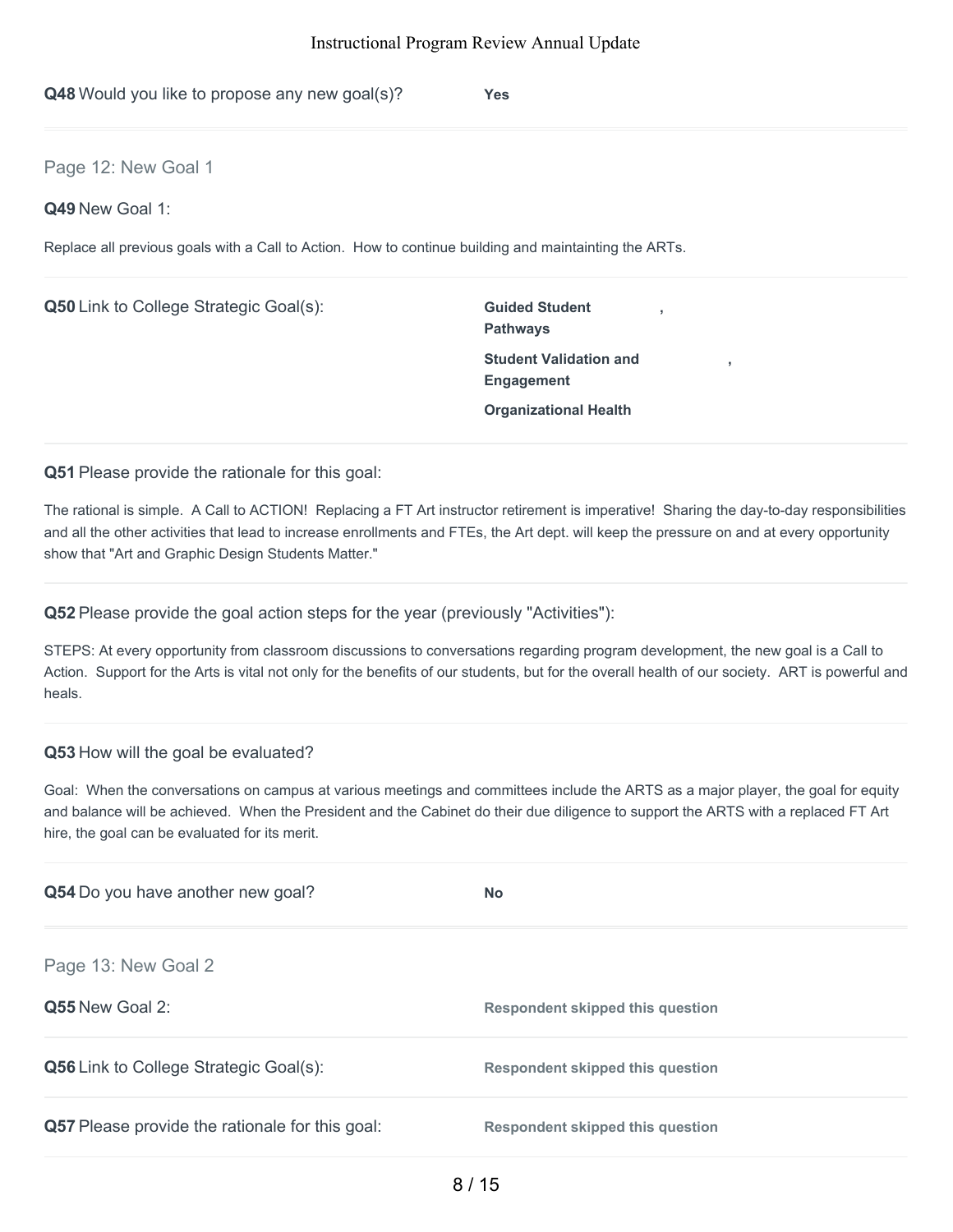**Q48** Would you like to propose any new goal(s)? **Yes**

Page 12: New Goal 1

**Q49** New Goal 1:

Replace all previous goals with a Call to Action. How to continue building and maintainting the ARTs.

**Q50** Link to College Strategic Goal(s): **Guided Student** 

**Pathways Student Validation and Engagement Organizational Health**

**,**

**,**

**Q51** Please provide the rationale for this goal:

The rational is simple. A Call to ACTION! Replacing a FT Art instructor retirement is imperative! Sharing the day-to-day responsibilities and all the other activities that lead to increase enrollments and FTEs, the Art dept. will keep the pressure on and at every opportunity show that "Art and Graphic Design Students Matter."

**Q52** Please provide the goal action steps for the year (previously "Activities"):

STEPS: At every opportunity from classroom discussions to conversations regarding program development, the new goal is a Call to Action. Support for the Arts is vital not only for the benefits of our students, but for the overall health of our society. ART is powerful and heals.

### **Q53** How will the goal be evaluated?

Goal: When the conversations on campus at various meetings and committees include the ARTS as a major player, the goal for equity and balance will be achieved. When the President and the Cabinet do their due diligence to support the ARTS with a replaced FT Art hire, the goal can be evaluated for its merit.

| Q54 Do you have another new goal?               | <b>No</b>                               |
|-------------------------------------------------|-----------------------------------------|
| Page 13: New Goal 2                             |                                         |
| Q55 New Goal 2:                                 | Respondent skipped this question        |
| <b>Q56</b> Link to College Strategic Goal(s):   | <b>Respondent skipped this question</b> |
| Q57 Please provide the rationale for this goal: | <b>Respondent skipped this question</b> |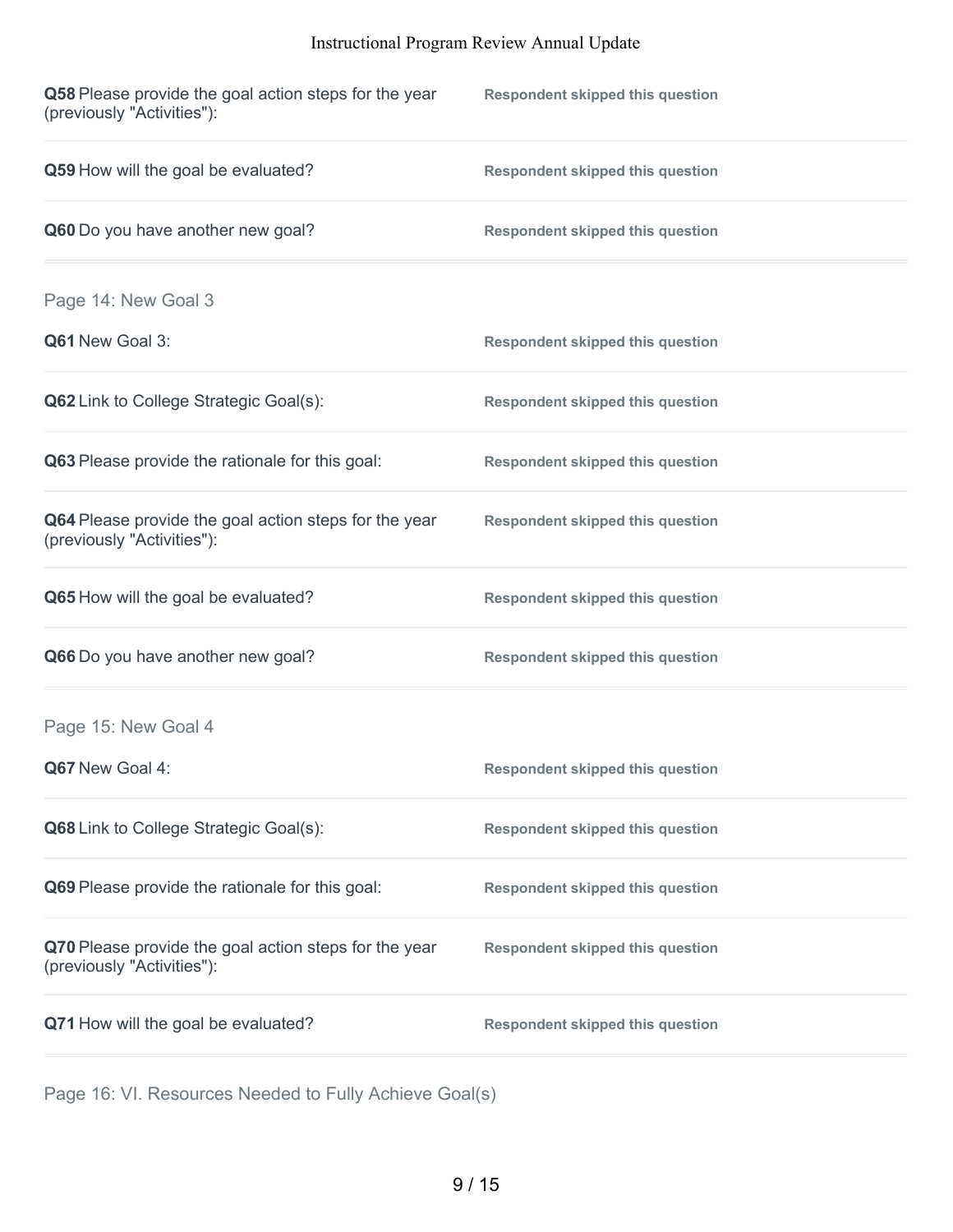| Q58 Please provide the goal action steps for the year<br>(previously "Activities"): | <b>Respondent skipped this question</b> |
|-------------------------------------------------------------------------------------|-----------------------------------------|
| Q59 How will the goal be evaluated?                                                 | <b>Respondent skipped this question</b> |
| Q60 Do you have another new goal?                                                   | <b>Respondent skipped this question</b> |
| Page 14: New Goal 3                                                                 |                                         |
| Q61 New Goal 3:                                                                     | <b>Respondent skipped this question</b> |
| Q62 Link to College Strategic Goal(s):                                              | <b>Respondent skipped this question</b> |
| Q63 Please provide the rationale for this goal:                                     | <b>Respondent skipped this question</b> |
| Q64 Please provide the goal action steps for the year<br>(previously "Activities"): | <b>Respondent skipped this question</b> |
| Q65 How will the goal be evaluated?                                                 | <b>Respondent skipped this question</b> |
| Q66 Do you have another new goal?                                                   | <b>Respondent skipped this question</b> |
| Page 15: New Goal 4                                                                 |                                         |
| Q67 New Goal 4:                                                                     | <b>Respondent skipped this question</b> |
| Q68 Link to College Strategic Goal(s):                                              | <b>Respondent skipped this question</b> |
| Q69 Please provide the rationale for this goal:                                     | <b>Respondent skipped this question</b> |
| Q70 Please provide the goal action steps for the year<br>(previously "Activities"): | <b>Respondent skipped this question</b> |
| Q71 How will the goal be evaluated?                                                 | <b>Respondent skipped this question</b> |

Page 16: VI. Resources Needed to Fully Achieve Goal(s)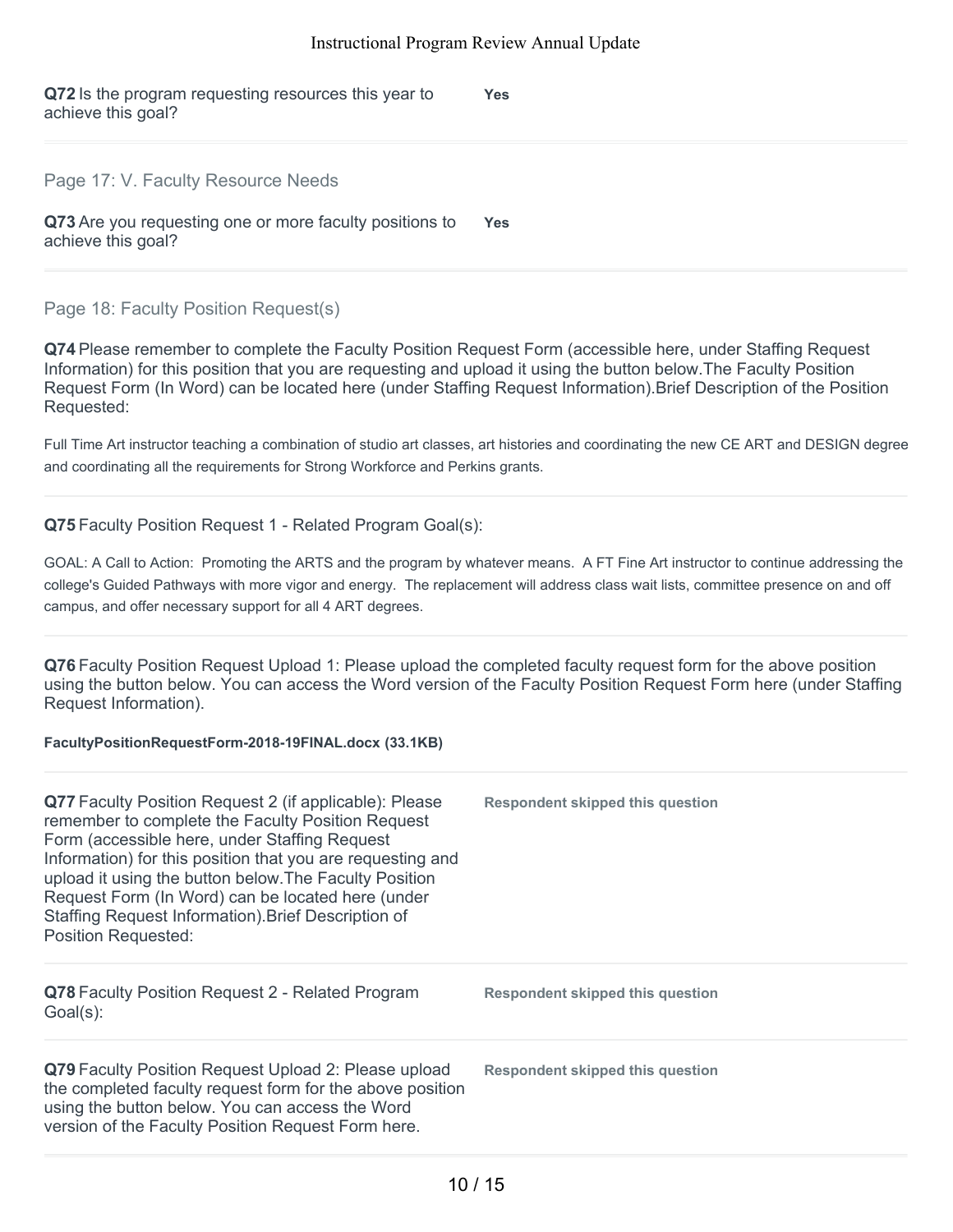**Q72** Is the program requesting resources this year to achieve this goal? **Yes**

### Page 17: V. Faculty Resource Needs

**Q73** Are you requesting one or more faculty positions to achieve this goal? **Yes**

### Page 18: Faculty Position Request(s)

**Q74** Please remember to complete the Faculty Position Request Form (accessible here, under Staffing Request Information) for this position that you are requesting and upload it using the button below.The Faculty Position Request Form (In Word) can be located here (under Staffing Request Information).Brief Description of the Position Requested:

Full Time Art instructor teaching a combination of studio art classes, art histories and coordinating the new CE ART and DESIGN degree and coordinating all the requirements for Strong Workforce and Perkins grants.

### **Q75** Faculty Position Request 1 - Related Program Goal(s):

GOAL: A Call to Action: Promoting the ARTS and the program by whatever means. A FT Fine Art instructor to continue addressing the college's Guided Pathways with more vigor and energy. The replacement will address class wait lists, committee presence on and off campus, and offer necessary support for all 4 ART degrees.

**Q76** Faculty Position Request Upload 1: Please upload the completed faculty request form for the above position using the button below. You can access the Word version of the Faculty Position Request Form here (under Staffing Request Information).

### **FacultyPositionRequestForm-2018-19FINAL.docx (33.1KB)**

| Q77 Faculty Position Request 2 (if applicable): Please<br>remember to complete the Faculty Position Request<br>Form (accessible here, under Staffing Request<br>Information) for this position that you are requesting and<br>upload it using the button below. The Faculty Position<br>Request Form (In Word) can be located here (under<br>Staffing Request Information). Brief Description of<br><b>Position Requested:</b> | <b>Respondent skipped this question</b> |
|--------------------------------------------------------------------------------------------------------------------------------------------------------------------------------------------------------------------------------------------------------------------------------------------------------------------------------------------------------------------------------------------------------------------------------|-----------------------------------------|
| Q78 Faculty Position Request 2 - Related Program<br>Goal(s):                                                                                                                                                                                                                                                                                                                                                                   | <b>Respondent skipped this question</b> |
| Q79 Faculty Position Request Upload 2: Please upload<br>the completed faculty request form for the above position<br>using the button below. You can access the Word<br>version of the Faculty Position Request Form here.                                                                                                                                                                                                     | <b>Respondent skipped this question</b> |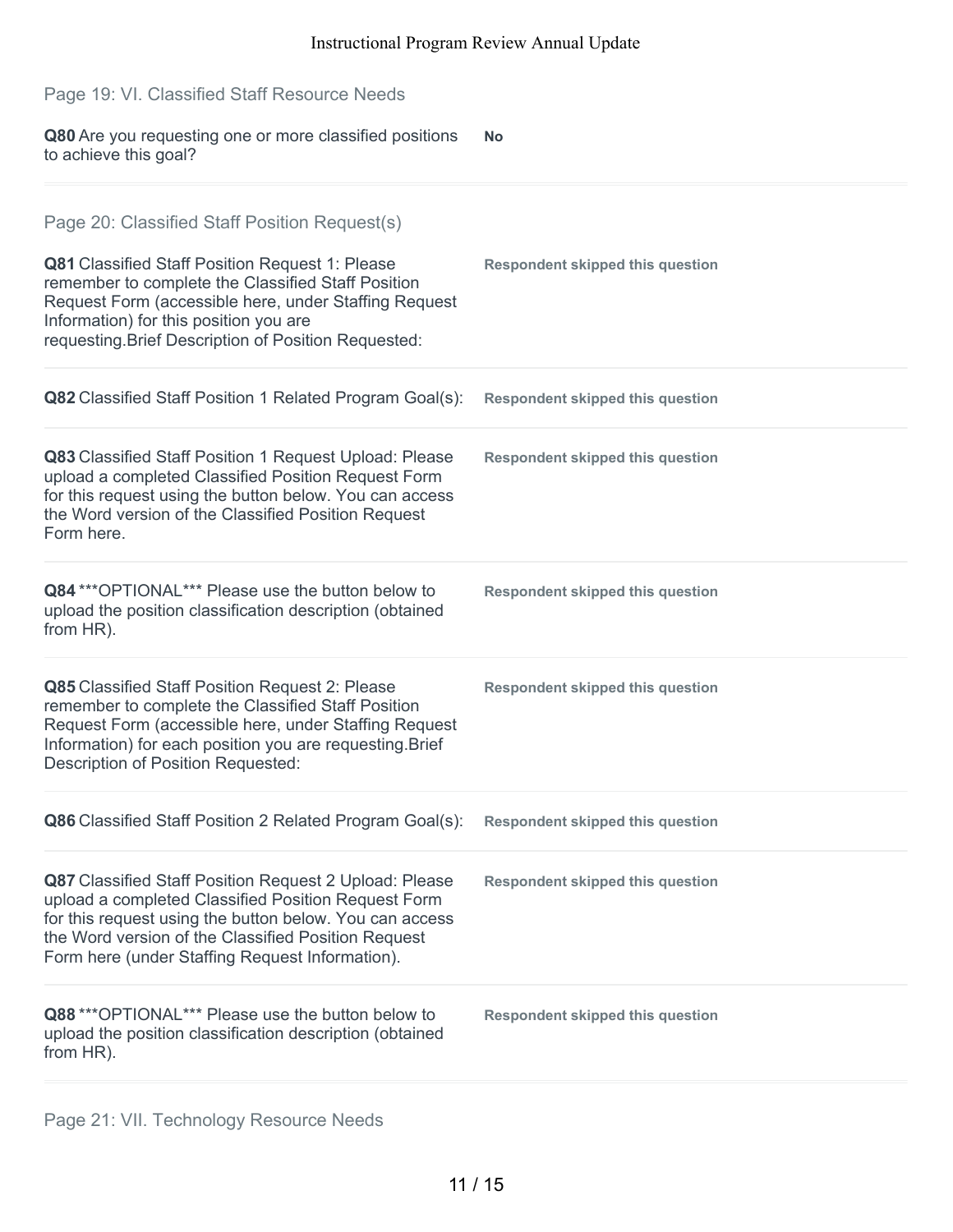| Page 19: VI. Classified Staff Resource Needs                                                                                                                                                                                                                                       |                                         |
|------------------------------------------------------------------------------------------------------------------------------------------------------------------------------------------------------------------------------------------------------------------------------------|-----------------------------------------|
| Q80 Are you requesting one or more classified positions<br>to achieve this goal?                                                                                                                                                                                                   | <b>No</b>                               |
| Page 20: Classified Staff Position Request(s)                                                                                                                                                                                                                                      |                                         |
| Q81 Classified Staff Position Request 1: Please<br>remember to complete the Classified Staff Position<br>Request Form (accessible here, under Staffing Request<br>Information) for this position you are<br>requesting. Brief Description of Position Requested:                   | <b>Respondent skipped this question</b> |
| Q82 Classified Staff Position 1 Related Program Goal(s):                                                                                                                                                                                                                           | <b>Respondent skipped this question</b> |
| Q83 Classified Staff Position 1 Request Upload: Please<br>upload a completed Classified Position Request Form<br>for this request using the button below. You can access<br>the Word version of the Classified Position Request<br>Form here.                                      | <b>Respondent skipped this question</b> |
| Q84 *** OPTIONAL*** Please use the button below to<br>upload the position classification description (obtained<br>from HR).                                                                                                                                                        | <b>Respondent skipped this question</b> |
| Q85 Classified Staff Position Request 2: Please<br>remember to complete the Classified Staff Position<br>Request Form (accessible here, under Staffing Request<br>Information) for each position you are requesting. Brief<br><b>Description of Position Requested:</b>            | <b>Respondent skipped this question</b> |
| Q86 Classified Staff Position 2 Related Program Goal(s):                                                                                                                                                                                                                           | <b>Respondent skipped this question</b> |
| Q87 Classified Staff Position Request 2 Upload: Please<br>upload a completed Classified Position Request Form<br>for this request using the button below. You can access<br>the Word version of the Classified Position Request<br>Form here (under Staffing Request Information). | <b>Respondent skipped this question</b> |
| Q88 *** OPTIONAL*** Please use the button below to<br>upload the position classification description (obtained<br>from HR).                                                                                                                                                        | <b>Respondent skipped this question</b> |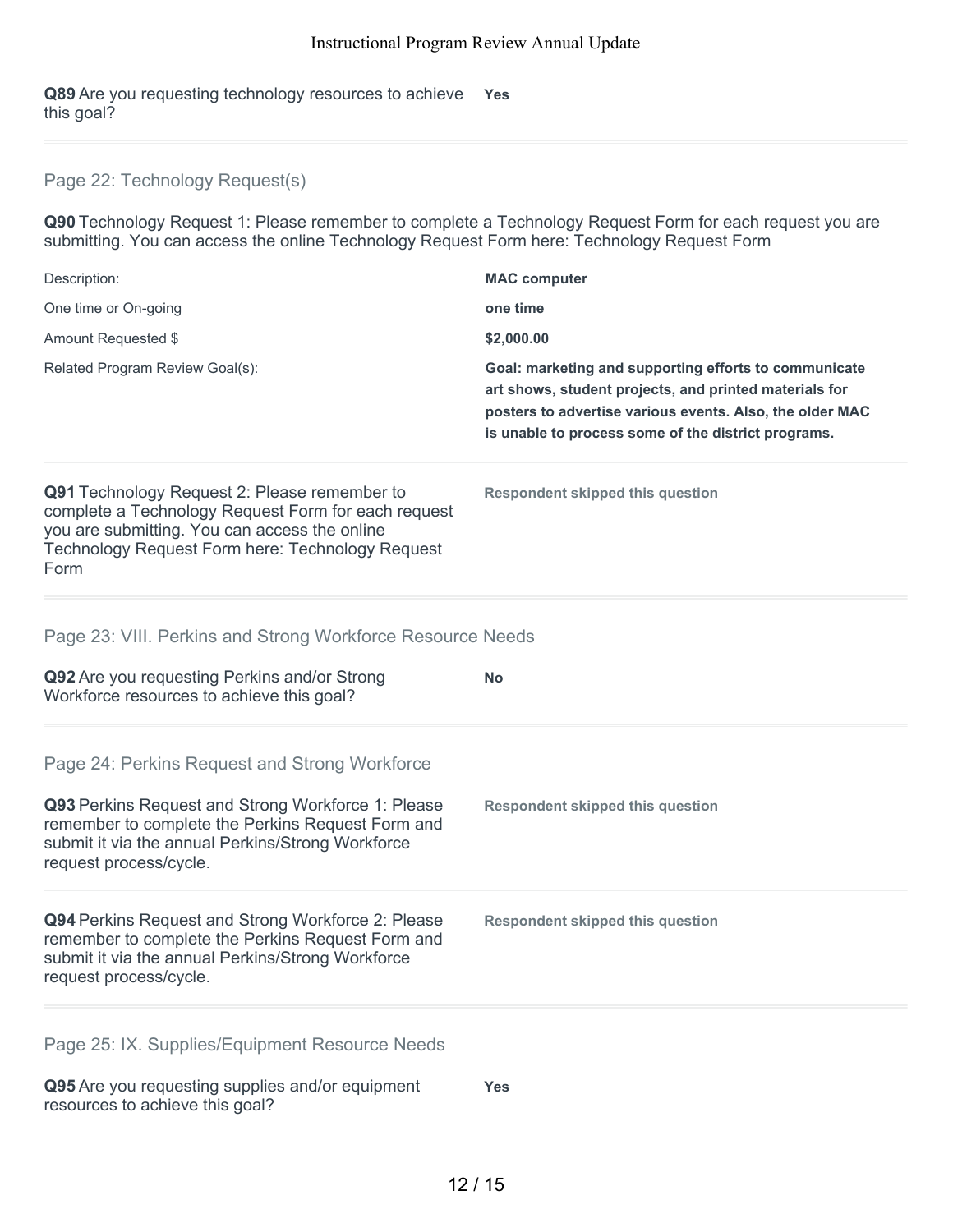**Q89** Are you requesting technology resources to achieve **Yes** this goal?

### Page 22: Technology Request(s)

**Q90** Technology Request 1: Please remember to complete a Technology Request Form for each request you are submitting. You can access the online Technology Request Form here: Technology Request Form

| Description:                    | <b>MAC</b> computer                                                                                                                                                                                                                |
|---------------------------------|------------------------------------------------------------------------------------------------------------------------------------------------------------------------------------------------------------------------------------|
| One time or On-going            | one time                                                                                                                                                                                                                           |
| Amount Requested \$             | \$2,000.00                                                                                                                                                                                                                         |
| Related Program Review Goal(s): | Goal: marketing and supporting efforts to communicate<br>art shows, student projects, and printed materials for<br>posters to advertise various events. Also, the older MAC<br>is unable to process some of the district programs. |

**Respondent skipped this question**

**Q91** Technology Request 2: Please remember to complete a Technology Request Form for each request you are submitting. You can access the online Technology Request Form here: Technology Request Form

### Page 23: VIII. Perkins and Strong Workforce Resource Needs

| Q92 Are you requesting Perkins and/or Strong<br>Workforce resources to achieve this goal?                                                                                                                                               | <b>No</b>                               |
|-----------------------------------------------------------------------------------------------------------------------------------------------------------------------------------------------------------------------------------------|-----------------------------------------|
| Page 24: Perkins Request and Strong Workforce<br>Q93 Perkins Request and Strong Workforce 1: Please<br>remember to complete the Perkins Request Form and<br>submit it via the annual Perkins/Strong Workforce<br>request process/cycle. | <b>Respondent skipped this question</b> |
| Q94 Perkins Request and Strong Workforce 2: Please<br>remember to complete the Perkins Request Form and<br>submit it via the annual Perkins/Strong Workforce<br>request process/cycle.                                                  | <b>Respondent skipped this question</b> |
| Page 25: IX. Supplies/Equipment Resource Needs<br>Q95 Are you requesting supplies and/or equipment<br>resources to achieve this goal?                                                                                                   | <b>Yes</b>                              |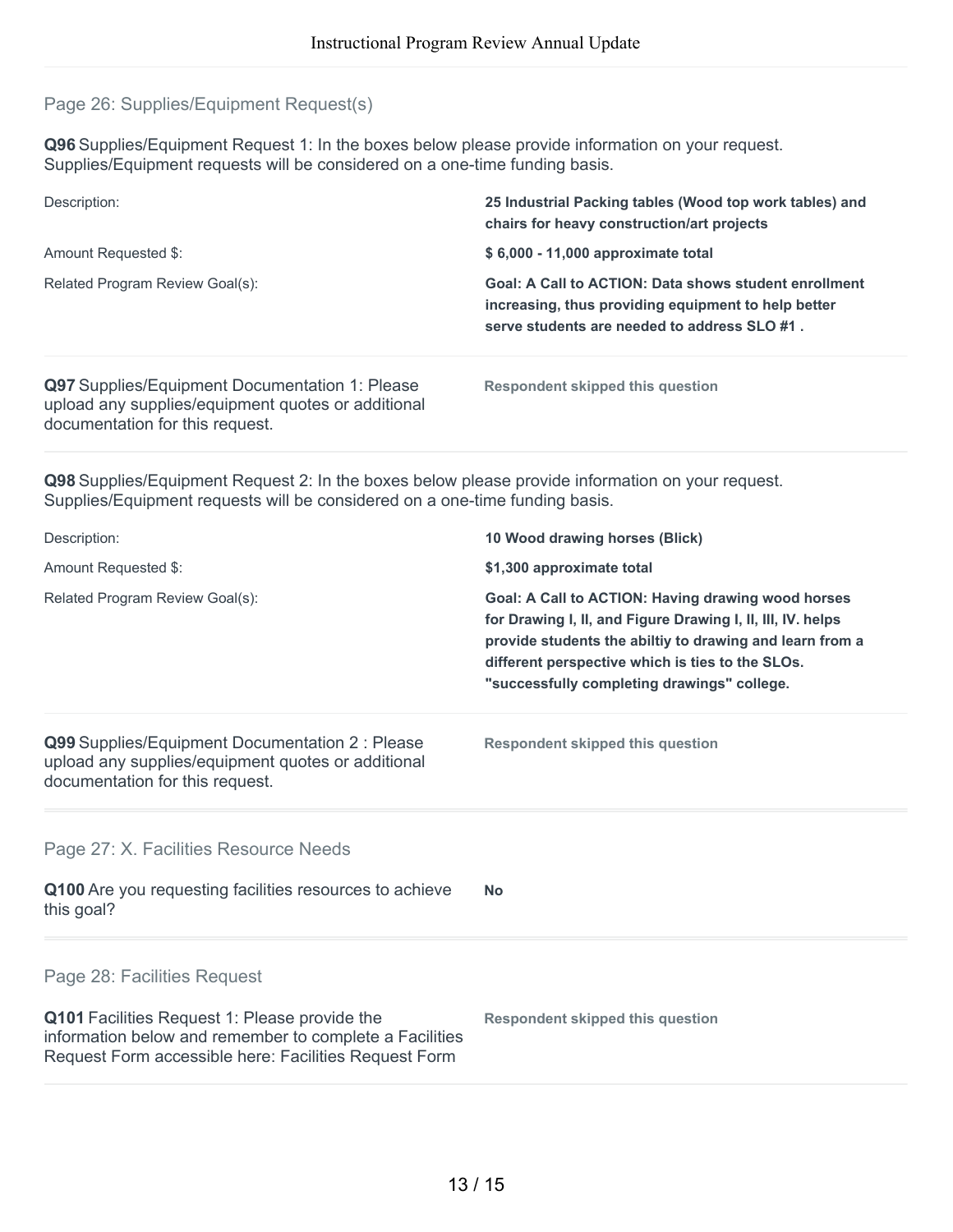### Page 26: Supplies/Equipment Request(s)

**Q96** Supplies/Equipment Request 1: In the boxes below please provide information on your request. Supplies/Equipment requests will be considered on a one-time funding basis.

| Description:                                   | 25 Industrial Packing tables (Wood top work tables) and<br>chairs for heavy construction/art projects                                                        |
|------------------------------------------------|--------------------------------------------------------------------------------------------------------------------------------------------------------------|
| Amount Requested \$:                           | \$6,000 - 11,000 approximate total                                                                                                                           |
| Related Program Review Goal(s):                | Goal: A Call to ACTION: Data shows student enrollment<br>increasing, thus providing equipment to help better<br>serve students are needed to address SLO #1. |
| Q97 Supplies/Equipment Documentation 1: Please | Respondent skipped this question                                                                                                                             |

upload any supplies/equipment quotes or additional documentation for this request.

**Q98** Supplies/Equipment Request 2: In the boxes below please provide information on your request. Supplies/Equipment requests will be considered on a one-time funding basis.

| Description:                                                                                                                                                      | 10 Wood drawing horses (Blick)                                                                                                                                                                                                                                                   |
|-------------------------------------------------------------------------------------------------------------------------------------------------------------------|----------------------------------------------------------------------------------------------------------------------------------------------------------------------------------------------------------------------------------------------------------------------------------|
| Amount Requested \$:                                                                                                                                              | \$1,300 approximate total                                                                                                                                                                                                                                                        |
| Related Program Review Goal(s):                                                                                                                                   | Goal: A Call to ACTION: Having drawing wood horses<br>for Drawing I, II, and Figure Drawing I, II, III, IV. helps<br>provide students the abiltiy to drawing and learn from a<br>different perspective which is ties to the SLOs.<br>"successfully completing drawings" college. |
| Q99 Supplies/Equipment Documentation 2 : Please<br>upload any supplies/equipment quotes or additional<br>documentation for this request.                          | <b>Respondent skipped this question</b>                                                                                                                                                                                                                                          |
| Page 27: X. Facilities Resource Needs                                                                                                                             |                                                                                                                                                                                                                                                                                  |
| Q100 Are you requesting facilities resources to achieve<br>this goal?                                                                                             | <b>No</b>                                                                                                                                                                                                                                                                        |
| Page 28: Facilities Request                                                                                                                                       |                                                                                                                                                                                                                                                                                  |
| Q101 Facilities Request 1: Please provide the<br>information below and remember to complete a Facilities<br>Request Form accessible here: Facilities Request Form | <b>Respondent skipped this question</b>                                                                                                                                                                                                                                          |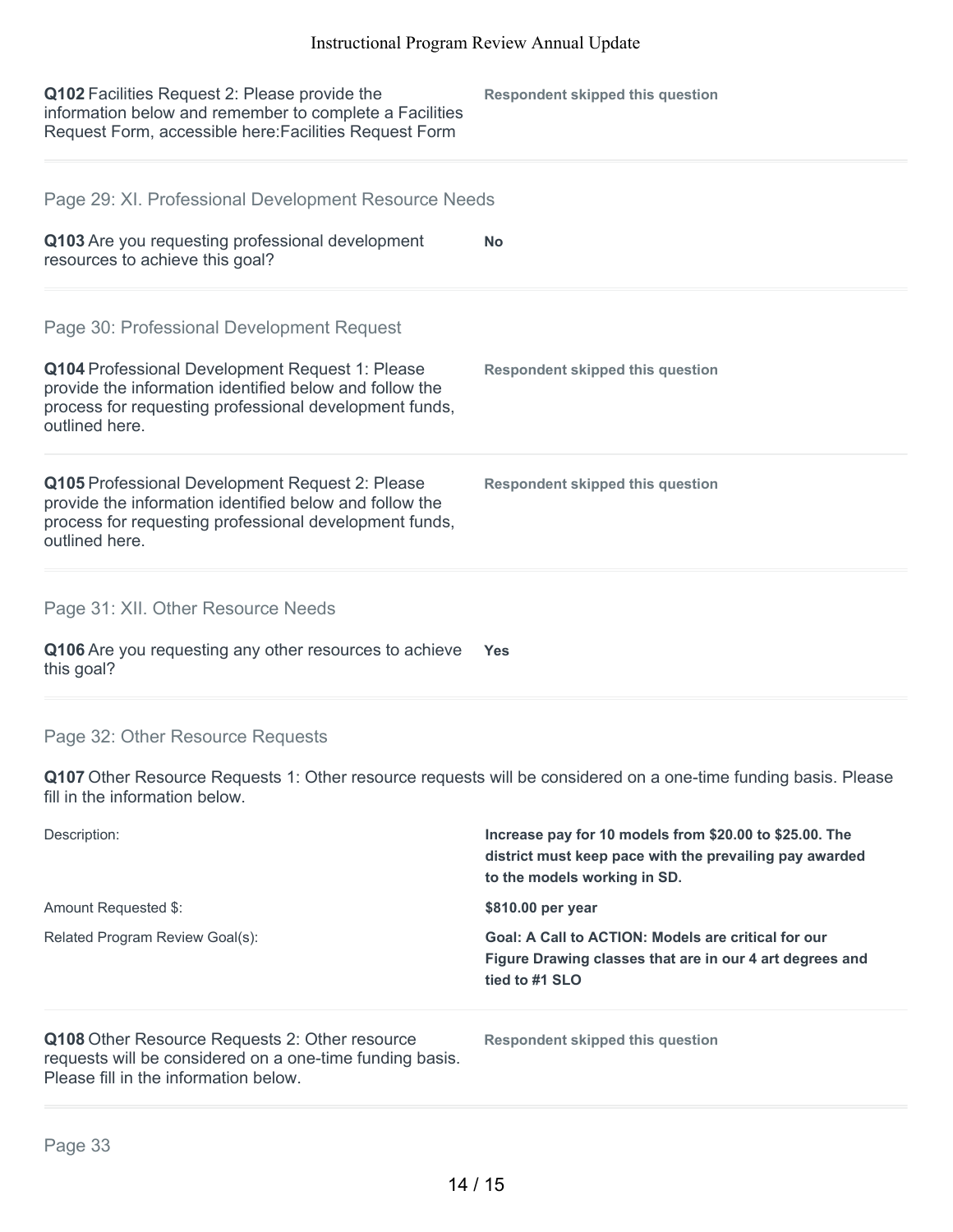| Q102 Facilities Request 2: Please provide the<br>information below and remember to complete a Facilities<br>Request Form, accessible here: Facilities Request Form                     | <b>Respondent skipped this question</b>                                                                                                            |
|----------------------------------------------------------------------------------------------------------------------------------------------------------------------------------------|----------------------------------------------------------------------------------------------------------------------------------------------------|
| Page 29: XI. Professional Development Resource Needs                                                                                                                                   |                                                                                                                                                    |
| Q103 Are you requesting professional development<br>resources to achieve this goal?                                                                                                    | No                                                                                                                                                 |
| Page 30: Professional Development Request                                                                                                                                              |                                                                                                                                                    |
| Q104 Professional Development Request 1: Please<br>provide the information identified below and follow the<br>process for requesting professional development funds,<br>outlined here. | <b>Respondent skipped this question</b>                                                                                                            |
| Q105 Professional Development Request 2: Please<br>provide the information identified below and follow the<br>process for requesting professional development funds,<br>outlined here. | <b>Respondent skipped this question</b>                                                                                                            |
| Page 31: XII. Other Resource Needs                                                                                                                                                     |                                                                                                                                                    |
| Q106 Are you requesting any other resources to achieve<br>this goal?                                                                                                                   | <b>Yes</b>                                                                                                                                         |
| Page 32: Other Resource Requests                                                                                                                                                       |                                                                                                                                                    |
| Q107 Other Resource Requests 1: Other resource requests will be considered on a one-time funding basis. Please<br>fill in the information below.                                       |                                                                                                                                                    |
| Description:                                                                                                                                                                           | Increase pay for 10 models from \$20.00 to \$25.00. The<br>district must keep pace with the prevailing pay awarded<br>to the models working in SD. |
| Amount Requested \$:                                                                                                                                                                   | \$810.00 per year                                                                                                                                  |
| Related Program Review Goal(s):                                                                                                                                                        | <b>Goal: A Call to ACTION: Models are critical for our</b><br>Figure Drawing classes that are in our 4 art degrees and<br>tied to #1 SLO           |
| Q108 Other Resource Requests 2: Other resource<br>requests will be considered on a one-time funding basis.<br>Please fill in the information below.                                    | <b>Respondent skipped this question</b>                                                                                                            |